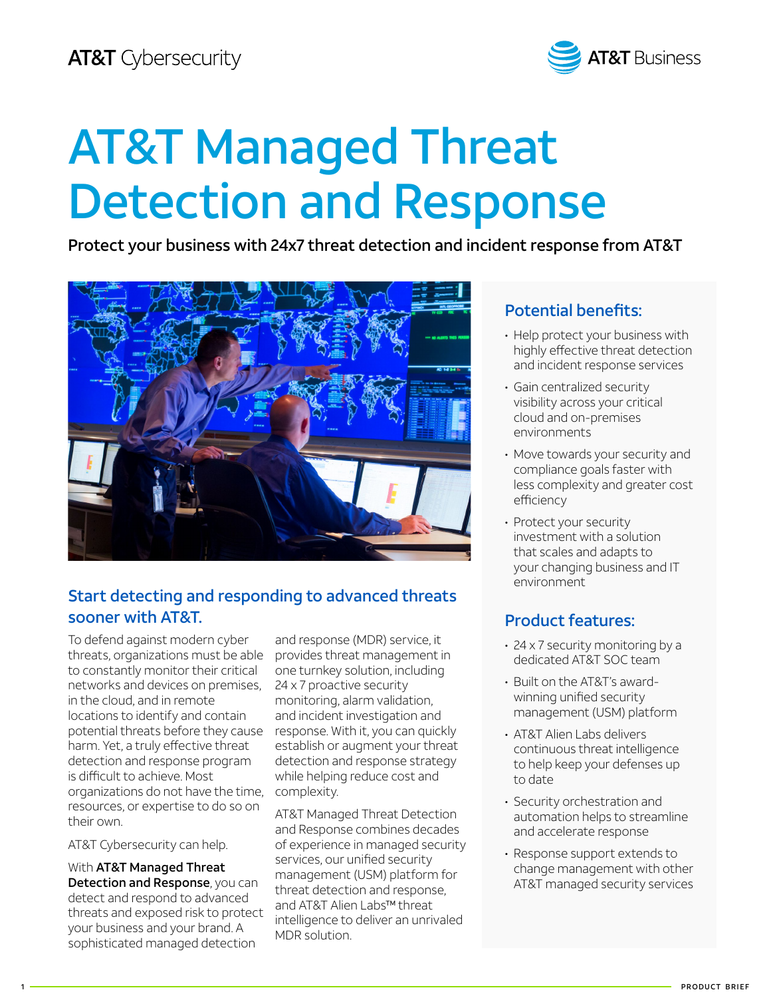

# AT&T Managed Threat Detection and Response

Protect your business with 24x7 threat detection and incident response from AT&T



# Start detecting and responding to advanced threats sooner with AT&T.

To defend against modern cyber threats, organizations must be able to constantly monitor their critical networks and devices on premises, in the cloud, and in remote locations to identify and contain potential threats before they cause harm. Yet, a truly effective threat detection and response program is difficult to achieve. Most organizations do not have the time, resources, or expertise to do so on their own.

AT&T Cybersecurity can help.

With AT&T Managed Threat **Detection and Response, you can** detect and respond to advanced threats and exposed risk to protect your business and your brand. A sophisticated managed detection

and response (MDR) service, it provides threat management in one turnkey solution, including 24 x 7 proactive security monitoring, alarm validation, and incident investigation and response. With it, you can quickly establish or augment your threat detection and response strategy while helping reduce cost and complexity.

AT&T Managed Threat Detection and Response combines decades of experience in managed security services, our unified security management (USM) platform for threat detection and response, and AT&T Alien Labs™ threat intelligence to deliver an unrivaled MDR solution.

# Potential benefits:

- Help protect your business with highly effective threat detection and incident response services
- Gain centralized security visibility across your critical cloud and on-premises environments
- Move towards your security and compliance goals faster with less complexity and greater cost efficiency
- Protect your security investment with a solution that scales and adapts to your changing business and IT environment

# Product features:

- 24 x 7 security monitoring by a dedicated AT&T SOC team
- Built on the AT&T's awardwinning unified security management (USM) platform
- AT&T Alien Labs delivers continuous threat intelligence to help keep your defenses up to date
- Security orchestration and automation helps to streamline and accelerate response
- Response support extends to change management with other AT&T managed security services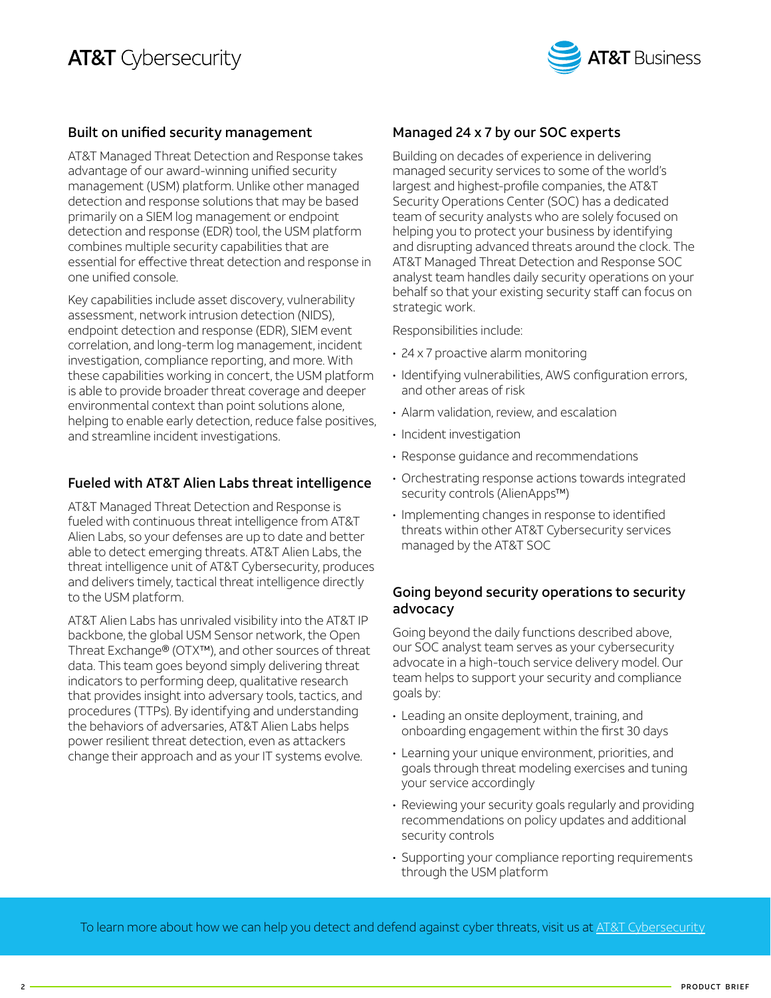

#### Built on unified security management

AT&T Managed Threat Detection and Response takes advantage of our award-winning unified security management (USM) platform. Unlike other managed detection and response solutions that may be based primarily on a SIEM log management or endpoint detection and response (EDR) tool, the USM platform combines multiple security capabilities that are essential for effective threat detection and response in one unified console.

Key capabilities include asset discovery, vulnerability assessment, network intrusion detection (NIDS), endpoint detection and response (EDR), SIEM event correlation, and long-term log management, incident investigation, compliance reporting, and more. With these capabilities working in concert, the USM platform is able to provide broader threat coverage and deeper environmental context than point solutions alone, helping to enable early detection, reduce false positives, and streamline incident investigations.

#### Fueled with AT&T Alien Labs threat intelligence

AT&T Managed Threat Detection and Response is fueled with continuous threat intelligence from AT&T Alien Labs, so your defenses are up to date and better able to detect emerging threats. AT&T Alien Labs, the threat intelligence unit of AT&T Cybersecurity, produces and delivers timely, tactical threat intelligence directly to the USM platform.

AT&T Alien Labs has unrivaled visibility into the AT&T IP backbone, the global USM Sensor network, the Open Threat Exchange® (OTX™), and other sources of threat data. This team goes beyond simply delivering threat indicators to performing deep, qualitative research that provides insight into adversary tools, tactics, and procedures (TTPs). By identifying and understanding the behaviors of adversaries, AT&T Alien Labs helps power resilient threat detection, even as attackers change their approach and as your IT systems evolve.

#### Managed 24 x 7 by our SOC experts

Building on decades of experience in delivering managed security services to some of the world's largest and highest-profile companies, the AT&T Security Operations Center (SOC) has a dedicated team of security analysts who are solely focused on helping you to protect your business by identifying and disrupting advanced threats around the clock. The AT&T Managed Threat Detection and Response SOC analyst team handles daily security operations on your behalf so that your existing security staff can focus on strategic work.

Responsibilities include:

- 24 x 7 proactive alarm monitoring
- Identifying vulnerabilities, AWS configuration errors, and other areas of risk
- Alarm validation, review, and escalation
- Incident investigation
- Response guidance and recommendations
- Orchestrating response actions towards integrated security controls (AlienApps™)
- Implementing changes in response to identified threats within other AT&T Cybersecurity services managed by the AT&T SOC

#### Going beyond security operations to security advocacy

Going beyond the daily functions described above, our SOC analyst team serves as your cybersecurity advocate in a high-touch service delivery model. Our team helps to support your security and compliance goals by:

- Leading an onsite deployment, training, and onboarding engagement within the first 30 days
- Learning your unique environment, priorities, and goals through threat modeling exercises and tuning your service accordingly
- Reviewing your security goals regularly and providing recommendations on policy updates and additional security controls
- Supporting your compliance reporting requirements through the USM platform

To learn more about how we can help you detect and defend against cyber threats, visit us at [AT&T Cybersecurity](https://www.business.att.com/portfolios/cybersecurity.html)